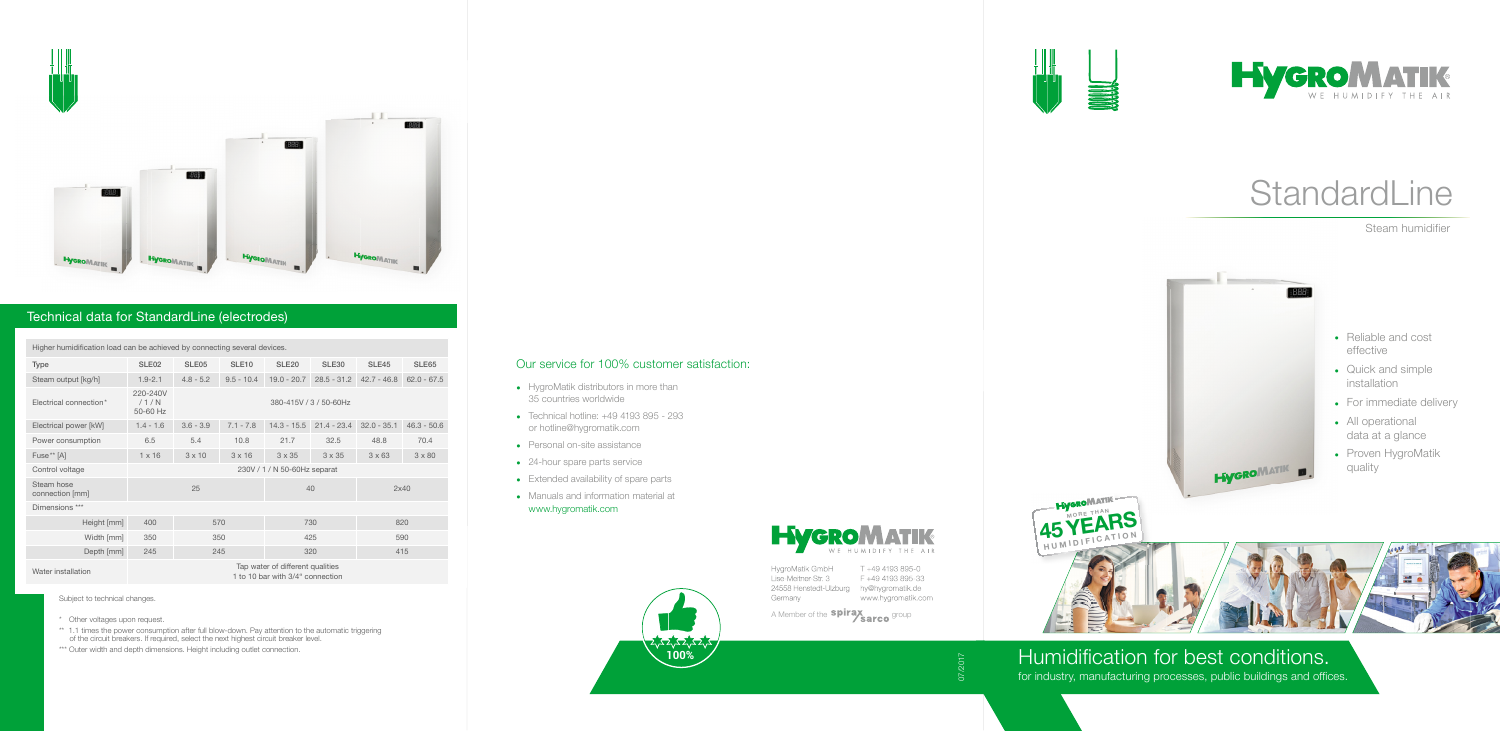





07/2017



# StandardLine







#### Technical data for StandardLine (electrodes)

Higher humidification load can be achieved by connecting several devices.

- \* Other voltages upon request.
- \*\* 1.1 times the power consumption after full blow-down. Pay attention to the automatic triggering of the circuit breakers. If required, select the next highest circuit breaker level.
- \*\*\* Outer width and depth dimensions. Height including outlet connection.

| <b>Type</b>                   | SLE <sub>02</sub>                                                    | SLE <sub>05</sub>      | SLE <sub>10</sub> | <b>SLE20</b>  | <b>SLE30</b>  | <b>SLE45</b>  | SLE <sub>65</sub> |  |  |  |
|-------------------------------|----------------------------------------------------------------------|------------------------|-------------------|---------------|---------------|---------------|-------------------|--|--|--|
| Steam output [kg/h]           | $1.9 - 2.1$                                                          | $4.8 - 5.2$            | $9.5 - 10.4$      | $19.0 - 20.7$ | $28.5 - 31.2$ | $42.7 - 46.8$ | $62.0 - 67.5$     |  |  |  |
| Electrical connection*        | 220-240V<br>/1/N<br>50-60 Hz                                         | 380-415V / 3 / 50-60Hz |                   |               |               |               |                   |  |  |  |
| Electrical power [kW]         | $1.4 - 1.6$                                                          | $3.6 - 3.9$            | $7.1 - 7.8$       | $14.3 - 15.5$ | $21.4 - 23.4$ | $32.0 - 35.1$ | $46.3 - 50.6$     |  |  |  |
| Power consumption             | 6.5                                                                  | 5.4                    | 10.8              | 21.7          | 32.5          | 48.8          | 70.4              |  |  |  |
| Fuse <sup>**</sup> [A]        | $1 \times 16$                                                        | $3 \times 10$          | $3 \times 16$     | $3 \times 35$ | $3 \times 35$ | $3 \times 63$ | $3 \times 80$     |  |  |  |
| Control voltage               | 230V / 1 / N 50-60Hz separat                                         |                        |                   |               |               |               |                   |  |  |  |
| Steam hose<br>connection [mm] | 25                                                                   |                        |                   | 40            |               | 2x40          |                   |  |  |  |
| Dimensions ***                |                                                                      |                        |                   |               |               |               |                   |  |  |  |
| Height [mm]                   | 400                                                                  | 570                    |                   | 730           |               | 820           |                   |  |  |  |
| Width [mm]                    | 350                                                                  | 350                    |                   | 425           |               | 590           |                   |  |  |  |
| Depth [mm]                    | 245                                                                  | 245                    |                   | 320           |               | 415           |                   |  |  |  |
| Water installation            | Tap water of different qualities<br>1 to 10 bar with 3/4" connection |                        |                   |               |               |               |                   |  |  |  |

**Hygro**MATIK

Subject to technical changes.

### Humidification for best conditions.

for industry, manufacturing processes, public buildings and offices.



T +49 4193 895-0 HygroMatik GmbH Lise-Meitner-Str. 3 24558 Henstedt-Ulzburg hy@hygromatik.de Germany

F +49 4193 895-33 www.hygromatik.com

A Member of the **spirax Sarco** group

#### Our service for 100% customer satisfaction:

- HygroMatik distributors in more than 35 countries worldwide
- Technical hotline: +49 4193 895 293 or hotline@hygromatik.com
- Personal on-site assistance
- 24-hour spare parts service
- Extended availability of spare parts
- Manuals and information material at www.hygromatik.com